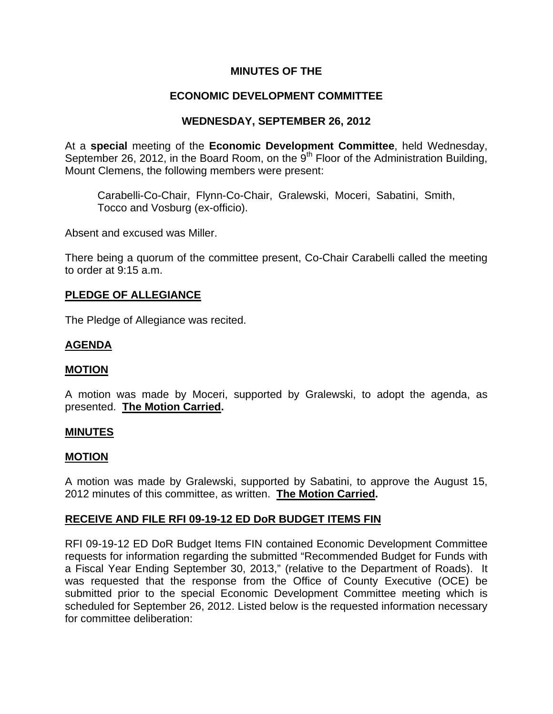# **MINUTES OF THE**

# **ECONOMIC DEVELOPMENT COMMITTEE**

# **WEDNESDAY, SEPTEMBER 26, 2012**

At a **special** meeting of the **Economic Development Committee**, held Wednesday, September 26, 2012, in the Board Room, on the  $9<sup>th</sup>$  Floor of the Administration Building, Mount Clemens, the following members were present:

Carabelli-Co-Chair, Flynn-Co-Chair, Gralewski, Moceri, Sabatini, Smith, Tocco and Vosburg (ex-officio).

Absent and excused was Miller.

There being a quorum of the committee present, Co-Chair Carabelli called the meeting to order at 9:15 a.m.

## **PLEDGE OF ALLEGIANCE**

The Pledge of Allegiance was recited.

## **AGENDA**

#### **MOTION**

A motion was made by Moceri, supported by Gralewski, to adopt the agenda, as presented. **The Motion Carried.** 

#### **MINUTES**

#### **MOTION**

A motion was made by Gralewski, supported by Sabatini, to approve the August 15, 2012 minutes of this committee, as written. **The Motion Carried.** 

# **RECEIVE AND FILE RFI 09-19-12 ED DoR BUDGET ITEMS FIN**

RFI 09-19-12 ED DoR Budget Items FIN contained Economic Development Committee requests for information regarding the submitted "Recommended Budget for Funds with a Fiscal Year Ending September 30, 2013," (relative to the Department of Roads). It was requested that the response from the Office of County Executive (OCE) be submitted prior to the special Economic Development Committee meeting which is scheduled for September 26, 2012. Listed below is the requested information necessary for committee deliberation: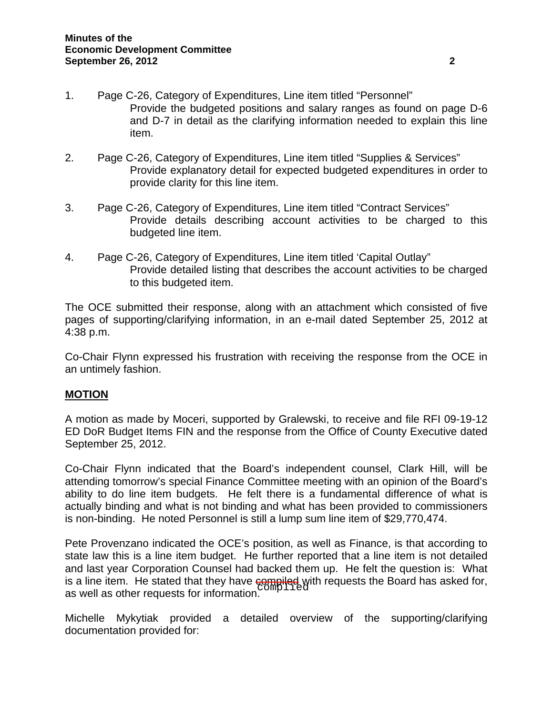- 1. Page C-26, Category of Expenditures, Line item titled "Personnel" Provide the budgeted positions and salary ranges as found on page D-6 and D-7 in detail as the clarifying information needed to explain this line item.
- 2. Page C-26, Category of Expenditures, Line item titled "Supplies & Services" Provide explanatory detail for expected budgeted expenditures in order to provide clarity for this line item.
- 3. Page C-26, Category of Expenditures, Line item titled "Contract Services" Provide details describing account activities to be charged to this budgeted line item.
- 4. Page C-26, Category of Expenditures, Line item titled 'Capital Outlay" Provide detailed listing that describes the account activities to be charged to this budgeted item.

The OCE submitted their response, along with an attachment which consisted of five pages of supporting/clarifying information, in an e-mail dated September 25, 2012 at 4:38 p.m.

Co-Chair Flynn expressed his frustration with receiving the response from the OCE in an untimely fashion.

# **MOTION**

A motion as made by Moceri, supported by Gralewski, to receive and file RFI 09-19-12 ED DoR Budget Items FIN and the response from the Office of County Executive dated September 25, 2012.

Co-Chair Flynn indicated that the Board's independent counsel, Clark Hill, will be attending tomorrow's special Finance Committee meeting with an opinion of the Board's ability to do line item budgets. He felt there is a fundamental difference of what is actually binding and what is not binding and what has been provided to commissioners is non-binding. He noted Personnel is still a lump sum line item of \$29,770,474.

Pete Provenzano indicated the OCE's position, as well as Finance, is that according to state law this is a line item budget. He further reported that a line item is not detailed and last year Corporation Counsel had backed them up. He felt the question is: What is a line item. He stated that they have compiled with requests the Board has asked for, i.e., while the requests for information complied as well as other requests for information.

Michelle Mykytiak provided a detailed overview of the supporting/clarifying documentation provided for: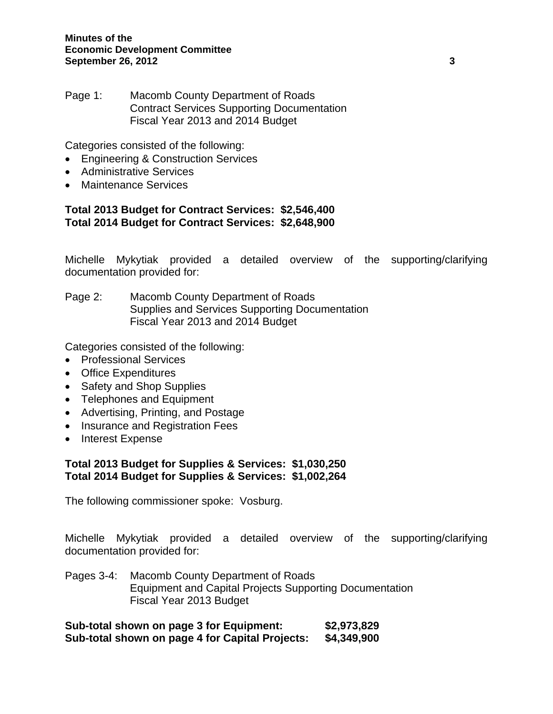Page 1: Macomb County Department of Roads Contract Services Supporting Documentation Fiscal Year 2013 and 2014 Budget

Categories consisted of the following:

- Engineering & Construction Services
- Administrative Services
- Maintenance Services

## **Total 2013 Budget for Contract Services: \$2,546,400 Total 2014 Budget for Contract Services: \$2,648,900**

Michelle Mykytiak provided a detailed overview of the supporting/clarifying documentation provided for:

Page 2: Macomb County Department of Roads Supplies and Services Supporting Documentation Fiscal Year 2013 and 2014 Budget

Categories consisted of the following:

- Professional Services
- Office Expenditures
- Safety and Shop Supplies
- Telephones and Equipment
- Advertising, Printing, and Postage
- Insurance and Registration Fees
- Interest Expense

## **Total 2013 Budget for Supplies & Services: \$1,030,250 Total 2014 Budget for Supplies & Services: \$1,002,264**

The following commissioner spoke: Vosburg.

Michelle Mykytiak provided a detailed overview of the supporting/clarifying documentation provided for:

Pages 3-4: Macomb County Department of Roads Equipment and Capital Projects Supporting Documentation Fiscal Year 2013 Budget

**Sub-total shown on page 3 for Equipment: \$2,973,829 Sub-total shown on page 4 for Capital Projects: \$4,349,900**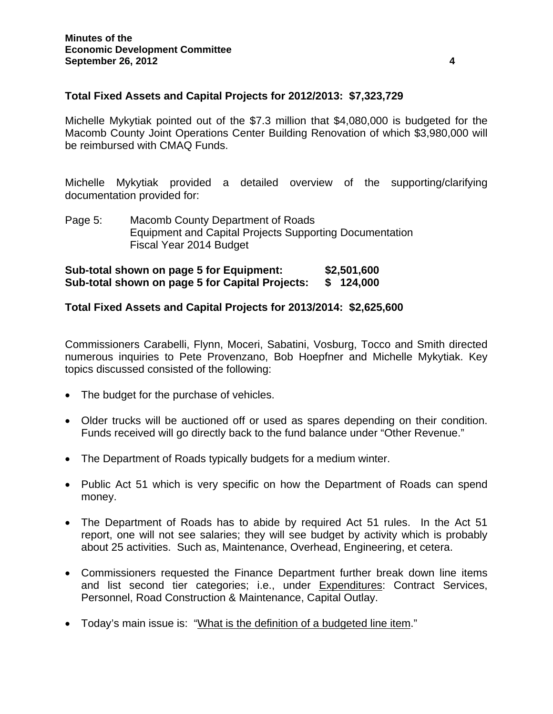## **Total Fixed Assets and Capital Projects for 2012/2013: \$7,323,729**

Michelle Mykytiak pointed out of the \$7.3 million that \$4,080,000 is budgeted for the Macomb County Joint Operations Center Building Renovation of which \$3,980,000 will be reimbursed with CMAQ Funds.

Michelle Mykytiak provided a detailed overview of the supporting/clarifying documentation provided for:

Page 5: Macomb County Department of Roads Equipment and Capital Projects Supporting Documentation Fiscal Year 2014 Budget

**Sub-total shown on page 5 for Equipment: \$2,501,600 Sub-total shown on page 5 for Capital Projects: \$ 124,000** 

## **Total Fixed Assets and Capital Projects for 2013/2014: \$2,625,600**

Commissioners Carabelli, Flynn, Moceri, Sabatini, Vosburg, Tocco and Smith directed numerous inquiries to Pete Provenzano, Bob Hoepfner and Michelle Mykytiak. Key topics discussed consisted of the following:

- The budget for the purchase of vehicles.
- Older trucks will be auctioned off or used as spares depending on their condition. Funds received will go directly back to the fund balance under "Other Revenue."
- The Department of Roads typically budgets for a medium winter.
- Public Act 51 which is very specific on how the Department of Roads can spend money.
- The Department of Roads has to abide by required Act 51 rules. In the Act 51 report, one will not see salaries; they will see budget by activity which is probably about 25 activities. Such as, Maintenance, Overhead, Engineering, et cetera.
- Commissioners requested the Finance Department further break down line items and list second tier categories; i.e., under Expenditures: Contract Services, Personnel, Road Construction & Maintenance, Capital Outlay.
- Today's main issue is: "What is the definition of a budgeted line item."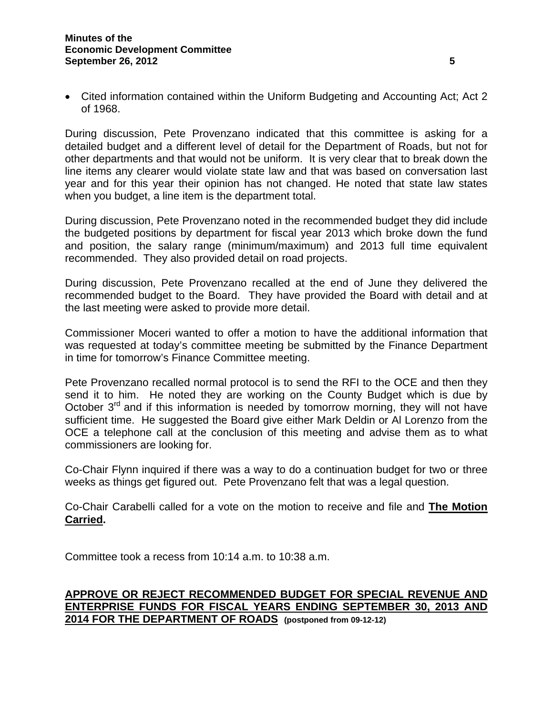• Cited information contained within the Uniform Budgeting and Accounting Act; Act 2 of 1968.

During discussion, Pete Provenzano indicated that this committee is asking for a detailed budget and a different level of detail for the Department of Roads, but not for other departments and that would not be uniform. It is very clear that to break down the line items any clearer would violate state law and that was based on conversation last year and for this year their opinion has not changed. He noted that state law states when you budget, a line item is the department total.

During discussion, Pete Provenzano noted in the recommended budget they did include the budgeted positions by department for fiscal year 2013 which broke down the fund and position, the salary range (minimum/maximum) and 2013 full time equivalent recommended. They also provided detail on road projects.

During discussion, Pete Provenzano recalled at the end of June they delivered the recommended budget to the Board. They have provided the Board with detail and at the last meeting were asked to provide more detail.

Commissioner Moceri wanted to offer a motion to have the additional information that was requested at today's committee meeting be submitted by the Finance Department in time for tomorrow's Finance Committee meeting.

Pete Provenzano recalled normal protocol is to send the RFI to the OCE and then they send it to him. He noted they are working on the County Budget which is due by October  $3<sup>rd</sup>$  and if this information is needed by tomorrow morning, they will not have sufficient time. He suggested the Board give either Mark Deldin or Al Lorenzo from the OCE a telephone call at the conclusion of this meeting and advise them as to what commissioners are looking for.

Co-Chair Flynn inquired if there was a way to do a continuation budget for two or three weeks as things get figured out. Pete Provenzano felt that was a legal question.

Co-Chair Carabelli called for a vote on the motion to receive and file and **The Motion Carried.** 

Committee took a recess from 10:14 a.m. to 10:38 a.m.

# **APPROVE OR REJECT RECOMMENDED BUDGET FOR SPECIAL REVENUE AND ENTERPRISE FUNDS FOR FISCAL YEARS ENDING SEPTEMBER 30, 2013 AND 2014 FOR THE DEPARTMENT OF ROADS (postponed from 09-12-12)**